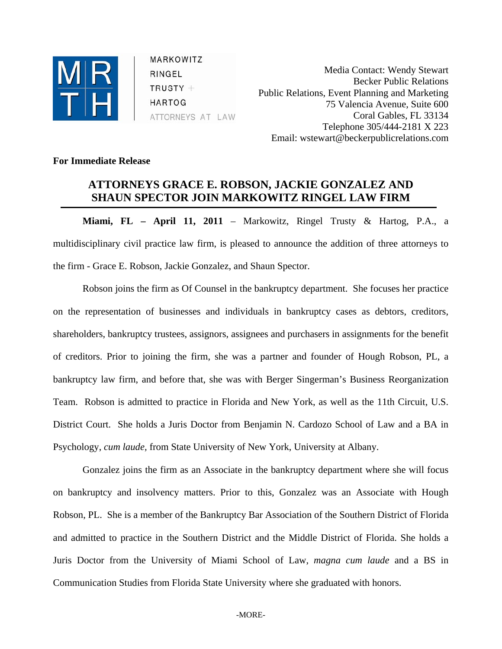

MARKOWITZ RINGEL  $TRUSTY +$ **HARTOG** ATTORNEYS AT LAW

Media Contact: Wendy Stewart Becker Public Relations Public Relations, Event Planning and Marketing 75 Valencia Avenue, Suite 600 Coral Gables, FL 33134 Telephone 305/444-2181 X 223 Email: wstewart@beckerpublicrelations.com

## **For Immediate Release**

## **ATTORNEYS GRACE E. ROBSON, JACKIE GONZALEZ AND SHAUN SPECTOR JOIN MARKOWITZ RINGEL LAW FIRM**

**Miami, FL – April 11, 2011** – Markowitz, Ringel Trusty & Hartog, P.A., a multidisciplinary civil practice law firm, is pleased to announce the addition of three attorneys to the firm - Grace E. Robson, Jackie Gonzalez, and Shaun Spector.

Robson joins the firm as Of Counsel in the bankruptcy department. She focuses her practice on the representation of businesses and individuals in bankruptcy cases as debtors, creditors, shareholders, bankruptcy trustees, assignors, assignees and purchasers in assignments for the benefit of creditors. Prior to joining the firm, she was a partner and founder of Hough Robson, PL, a bankruptcy law firm, and before that, she was with Berger Singerman's Business Reorganization Team. Robson is admitted to practice in Florida and New York, as well as the 11th Circuit, U.S. District Court. She holds a Juris Doctor from Benjamin N. Cardozo School of Law and a BA in Psychology, *cum laude,* from State University of New York, University at Albany.

Gonzalez joins the firm as an Associate in the bankruptcy department where she will focus on bankruptcy and insolvency matters. Prior to this, Gonzalez was an Associate with Hough Robson, PL. She is a member of the Bankruptcy Bar Association of the Southern District of Florida and admitted to practice in the Southern District and the Middle District of Florida. She holds a Juris Doctor from the University of Miami School of Law, *magna cum laude* and a BS in Communication Studies from Florida State University where she graduated with honors.